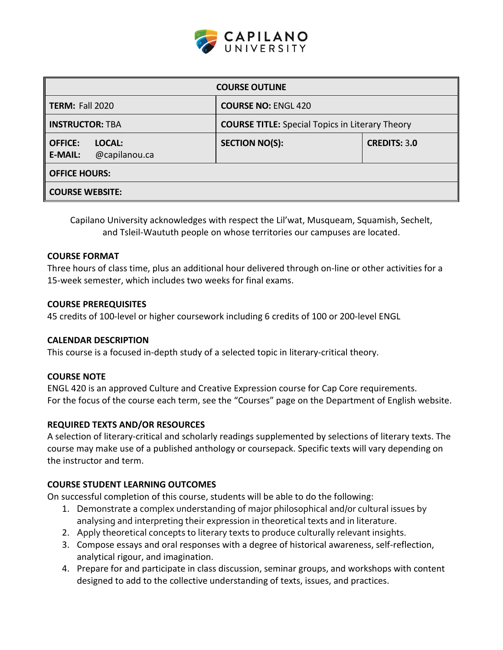

| <b>COURSE OUTLINE</b>                                       |                                                        |                     |  |  |
|-------------------------------------------------------------|--------------------------------------------------------|---------------------|--|--|
| <b>TERM: Fall 2020</b>                                      | <b>COURSE NO: ENGL 420</b>                             |                     |  |  |
| <b>INSTRUCTOR: TBA</b>                                      | <b>COURSE TITLE:</b> Special Topics in Literary Theory |                     |  |  |
| LOCAL:<br><b>OFFICE:</b><br>@capilanou.ca<br><b>E-MAIL:</b> | <b>SECTION NO(S):</b>                                  | <b>CREDITS: 3.0</b> |  |  |
| <b>OFFICE HOURS:</b>                                        |                                                        |                     |  |  |
| <b>COURSE WEBSITE:</b>                                      |                                                        |                     |  |  |

Capilano University acknowledges with respect the Lil'wat, Musqueam, Squamish, Sechelt, and Tsleil-Waututh people on whose territories our campuses are located.

### **COURSE FORMAT**

Three hours of class time, plus an additional hour delivered through on-line or other activities for a 15-week semester, which includes two weeks for final exams.

### **COURSE PREREQUISITES**

45 credits of 100-level or higher coursework including 6 credits of 100 or 200-level ENGL

# **CALENDAR DESCRIPTION**

This course is a focused in-depth study of a selected topic in literary-critical theory.

# **COURSE NOTE**

ENGL 420 is an approved Culture and Creative Expression course for Cap Core requirements. For the focus of the course each term, see the "Courses" page on the Department of English website.

# **REQUIRED TEXTS AND/OR RESOURCES**

A selection of literary-critical and scholarly readings supplemented by selections of literary texts. The course may make use of a published anthology or coursepack. Specific texts will vary depending on the instructor and term.

# **COURSE STUDENT LEARNING OUTCOMES**

On successful completion of this course, students will be able to do the following:

- 1. Demonstrate a complex understanding of major philosophical and/or cultural issues by analysing and interpreting their expression in theoretical texts and in literature.
- 2. Apply theoretical concepts to literary texts to produce culturally relevant insights.
- 3. Compose essays and oral responses with a degree of historical awareness, self-reflection, analytical rigour, and imagination.
- 4. Prepare for and participate in class discussion, seminar groups, and workshops with content designed to add to the collective understanding of texts, issues, and practices.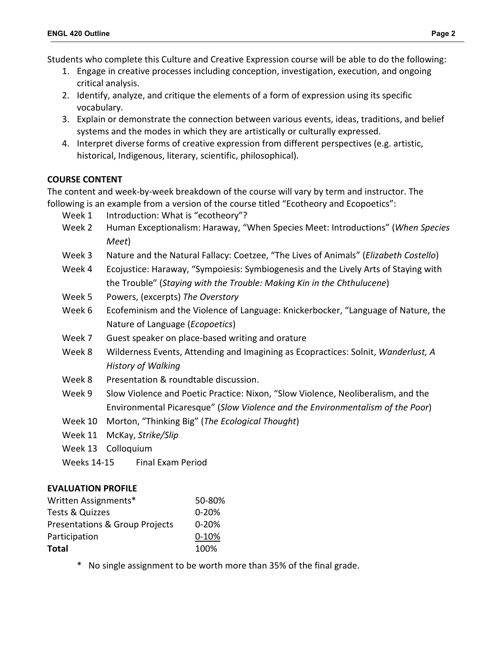Students who complete this Culture and Creative Expression course will be able to do the following:

- 1. Engage in creative processes including conception, investigation, execution, and ongoing critical analysis.
- 2. Identify, analyze, and critique the elements of a form of expression using its specific vocabulary.
- 3. Explain or demonstrate the connection between various events, ideas, traditions, and belief systems and the modes in which they are artistically or culturally expressed.
- 4. Interpret diverse forms of creative expression from different perspectives (e.g. artistic, historical, Indigenous, literary, scientific, philosophical).

# **COURSE CONTENT**

The content and week-by-week breakdown of the course will vary by term and instructor. The following is an example from a version of the course titled "Ecotheory and Ecopoetics":

- Week 1 Introduction: What is "ecotheory"?
- Week 2 Human Exceptionalism: Haraway, "When Species Meet: Introductions" (*When Species Meet*)
- Week 3 Nature and the Natural Fallacy: Coetzee, "The Lives of Animals" (*Elizabeth Costello*)
- Week 4 Ecojustice: Haraway, "Sympoiesis: Symbiogenesis and the Lively Arts of Staying with the Trouble" (*Staying with the Trouble: Making Kin in the Chthulucene*)
- Week 5 Powers, (excerpts) *The Overstory*
- Week 6 Ecofeminism and the Violence of Language: Knickerbocker, "Language of Nature, the Nature of Language (*Ecopoetics*)
- Week 7 Guest speaker on place-based writing and orature
- Week 8 Wilderness Events, Attending and Imagining as Ecopractices: Solnit, *Wanderlust, A History of Walking*
- Week 8 Presentation & roundtable discussion.
- Week 9 Slow Violence and Poetic Practice: Nixon, "Slow Violence, Neoliberalism, and the Environmental Picaresque" (*Slow Violence and the Environmentalism of the Poor*)
- Week 10 Morton, "Thinking Big" (*The Ecological Thought*)
- Week 11 McKay, *Strike/Slip*
- Week 13 Colloquium
- Weeks 14-15 Final Exam Period

# **EVALUATION PROFILE**

| Written Assignments*                      | 50-80%    |
|-------------------------------------------|-----------|
| Tests & Quizzes                           | $0 - 20%$ |
| <b>Presentations &amp; Group Projects</b> | $0 - 20%$ |
| Participation                             | $0-10%$   |
| <b>Total</b>                              | 100%      |

\* No single assignment to be worth more than 35% of the final grade.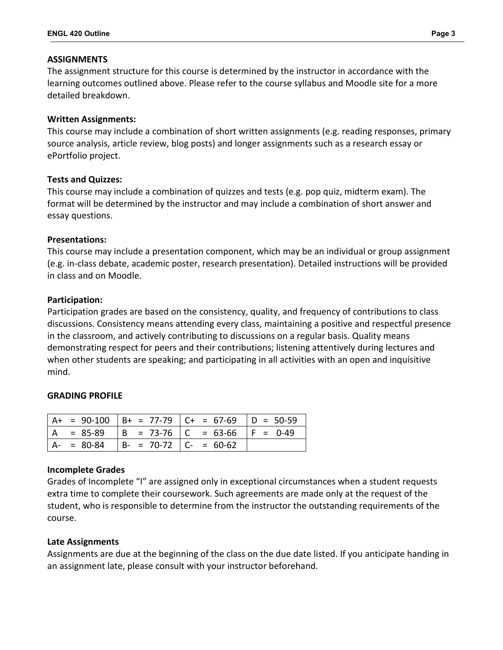### **ASSIGNMENTS**

The assignment structure for this course is determined by the instructor in accordance with the learning outcomes outlined above. Please refer to the course syllabus and Moodle site for a more detailed breakdown.

### **Written Assignments:**

This course may include a combination of short written assignments (e.g. reading responses, primary source analysis, article review, blog posts) and longer assignments such as a research essay or ePortfolio project.

### **Tests and Quizzes:**

This course may include a combination of quizzes and tests (e.g. pop quiz, midterm exam). The format will be determined by the instructor and may include a combination of short answer and essay questions.

### **Presentations:**

This course may include a presentation component, which may be an individual or group assignment (e.g. in-class debate, academic poster, research presentation). Detailed instructions will be provided in class and on Moodle.

### **Participation:**

Participation grades are based on the consistency, quality, and frequency of contributions to class discussions. Consistency means attending every class, maintaining a positive and respectful presence in the classroom, and actively contributing to discussions on a regular basis. Quality means demonstrating respect for peers and their contributions; listening attentively during lectures and when other students are speaking; and participating in all activities with an open and inquisitive mind.

# **GRADING PROFILE**

|  |                                        | $ $ A+ = 90-100 $ $ B+ = 77-79 $ $ C+ = 67-69 $ $ D = 50-59 |  |
|--|----------------------------------------|-------------------------------------------------------------|--|
|  |                                        | $  A = 85-89   B = 73-76   C = 63-66   F = 0-49$            |  |
|  | $A- = 80-84$ $B- = 70-72$ $C- = 60-62$ |                                                             |  |

#### **Incomplete Grades**

Grades of Incomplete "I" are assigned only in exceptional circumstances when a student requests extra time to complete their coursework. Such agreements are made only at the request of the student, who is responsible to determine from the instructor the outstanding requirements of the course.

# **Late Assignments**

Assignments are due at the beginning of the class on the due date listed. If you anticipate handing in an assignment late, please consult with your instructor beforehand.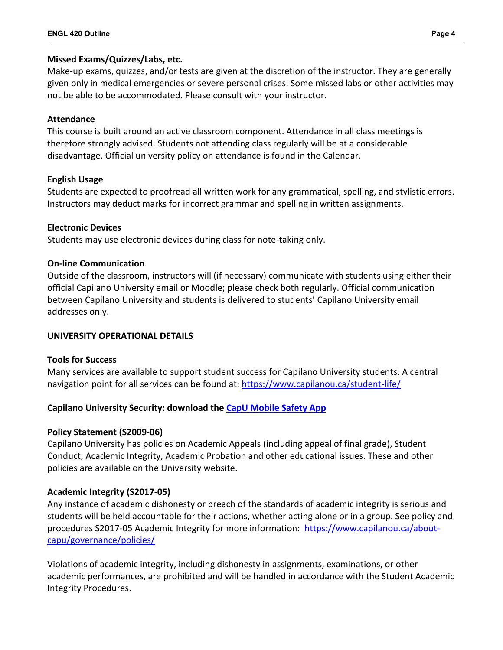# **Missed Exams/Quizzes/Labs, etc.**

Make-up exams, quizzes, and/or tests are given at the discretion of the instructor. They are generally given only in medical emergencies or severe personal crises. Some missed labs or other activities may not be able to be accommodated. Please consult with your instructor.

# **Attendance**

This course is built around an active classroom component. Attendance in all class meetings is therefore strongly advised. Students not attending class regularly will be at a considerable disadvantage. Official university policy on attendance is found in the Calendar.

# **English Usage**

Students are expected to proofread all written work for any grammatical, spelling, and stylistic errors. Instructors may deduct marks for incorrect grammar and spelling in written assignments.

# **Electronic Devices**

Students may use electronic devices during class for note-taking only.

# **On-line Communication**

Outside of the classroom, instructors will (if necessary) communicate with students using either their official Capilano University email or Moodle; please check both regularly. Official communication between Capilano University and students is delivered to students' Capilano University email addresses only.

# **UNIVERSITY OPERATIONAL DETAILS**

# **Tools for Success**

Many services are available to support student success for Capilano University students. A central navigation point for all services can be found at:<https://www.capilanou.ca/student-life/>

# **Capilano University Security: download the [CapU Mobile Safety App](https://www.capilanou.ca/student-life/support--wellness/safety--security/capu-safe-app/)**

# **Policy Statement (S2009-06)**

Capilano University has policies on Academic Appeals (including appeal of final grade), Student Conduct, Academic Integrity, Academic Probation and other educational issues. These and other policies are available on the University website.

# **Academic Integrity (S2017-05)**

Any instance of academic dishonesty or breach of the standards of academic integrity is serious and students will be held accountable for their actions, whether acting alone or in a group. See policy and procedures S2017-05 Academic Integrity for more information: [https://www.capilanou.ca/about](https://www.capilanou.ca/about-capu/governance/policies/)[capu/governance/policies/](https://www.capilanou.ca/about-capu/governance/policies/)

Violations of academic integrity, including dishonesty in assignments, examinations, or other academic performances, are prohibited and will be handled in accordance with the Student Academic Integrity Procedures.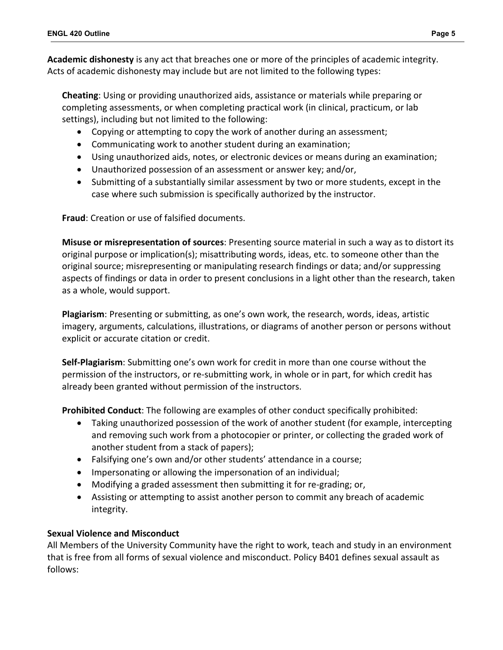**Academic dishonesty** is any act that breaches one or more of the principles of academic integrity. Acts of academic dishonesty may include but are not limited to the following types:

**Cheating**: Using or providing unauthorized aids, assistance or materials while preparing or completing assessments, or when completing practical work (in clinical, practicum, or lab settings), including but not limited to the following:

- Copying or attempting to copy the work of another during an assessment;
- Communicating work to another student during an examination;
- Using unauthorized aids, notes, or electronic devices or means during an examination;
- Unauthorized possession of an assessment or answer key; and/or,
- Submitting of a substantially similar assessment by two or more students, except in the case where such submission is specifically authorized by the instructor.

**Fraud**: Creation or use of falsified documents.

**Misuse or misrepresentation of sources**: Presenting source material in such a way as to distort its original purpose or implication(s); misattributing words, ideas, etc. to someone other than the original source; misrepresenting or manipulating research findings or data; and/or suppressing aspects of findings or data in order to present conclusions in a light other than the research, taken as a whole, would support.

**Plagiarism**: Presenting or submitting, as one's own work, the research, words, ideas, artistic imagery, arguments, calculations, illustrations, or diagrams of another person or persons without explicit or accurate citation or credit.

**Self-Plagiarism**: Submitting one's own work for credit in more than one course without the permission of the instructors, or re-submitting work, in whole or in part, for which credit has already been granted without permission of the instructors.

**Prohibited Conduct**: The following are examples of other conduct specifically prohibited:

- Taking unauthorized possession of the work of another student (for example, intercepting and removing such work from a photocopier or printer, or collecting the graded work of another student from a stack of papers);
- Falsifying one's own and/or other students' attendance in a course;
- Impersonating or allowing the impersonation of an individual;
- Modifying a graded assessment then submitting it for re-grading; or,
- Assisting or attempting to assist another person to commit any breach of academic integrity.

# **Sexual Violence and Misconduct**

All Members of the University Community have the right to work, teach and study in an environment that is free from all forms of sexual violence and misconduct. Policy B401 defines sexual assault as follows: